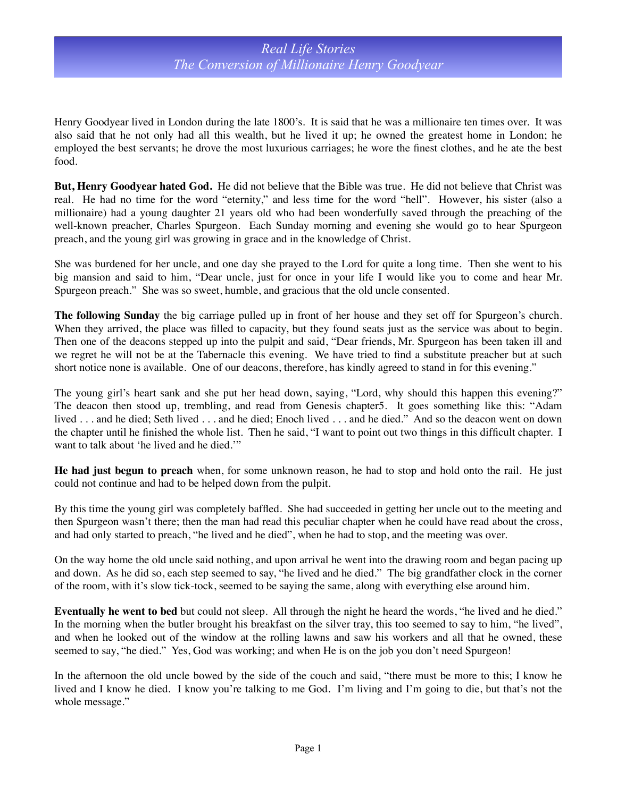Henry Goodyear lived in London during the late 1800's. It is said that he was a millionaire ten times over. It was also said that he not only had all this wealth, but he lived it up; he owned the greatest home in London; he employed the best servants; he drove the most luxurious carriages; he wore the finest clothes, and he ate the best food.

**But, Henry Goodyear hated God.** He did not believe that the Bible was true. He did not believe that Christ was real. He had no time for the word "eternity," and less time for the word "hell". However, his sister (also a millionaire) had a young daughter 21 years old who had been wonderfully saved through the preaching of the well-known preacher, Charles Spurgeon. Each Sunday morning and evening she would go to hear Spurgeon preach, and the young girl was growing in grace and in the knowledge of Christ.

She was burdened for her uncle, and one day she prayed to the Lord for quite a long time. Then she went to his big mansion and said to him, "Dear uncle, just for once in your life I would like you to come and hear Mr. Spurgeon preach." She was so sweet, humble, and gracious that the old uncle consented.

**The following Sunday** the big carriage pulled up in front of her house and they set off for Spurgeon's church. When they arrived, the place was filled to capacity, but they found seats just as the service was about to begin. Then one of the deacons stepped up into the pulpit and said, "Dear friends, Mr. Spurgeon has been taken ill and we regret he will not be at the Tabernacle this evening. We have tried to find a substitute preacher but at such short notice none is available. One of our deacons, therefore, has kindly agreed to stand in for this evening."

The young girl's heart sank and she put her head down, saying, "Lord, why should this happen this evening?" The deacon then stood up, trembling, and read from Genesis chapter5. It goes something like this: "Adam lived . . . and he died; Seth lived . . . and he died; Enoch lived . . . and he died." And so the deacon went on down the chapter until he finished the whole list. Then he said, "I want to point out two things in this difficult chapter. I want to talk about 'he lived and he died.'"

**He had just begun to preach** when, for some unknown reason, he had to stop and hold onto the rail. He just could not continue and had to be helped down from the pulpit.

By this time the young girl was completely baffled. She had succeeded in getting her uncle out to the meeting and then Spurgeon wasn't there; then the man had read this peculiar chapter when he could have read about the cross, and had only started to preach, "he lived and he died", when he had to stop, and the meeting was over.

On the way home the old uncle said nothing, and upon arrival he went into the drawing room and began pacing up and down. As he did so, each step seemed to say, "he lived and he died." The big grandfather clock in the corner of the room, with it's slow tick-tock, seemed to be saying the same, along with everything else around him.

**Eventually he went to bed** but could not sleep. All through the night he heard the words, "he lived and he died." In the morning when the butler brought his breakfast on the silver tray, this too seemed to say to him, "he lived", and when he looked out of the window at the rolling lawns and saw his workers and all that he owned, these seemed to say, "he died." Yes, God was working; and when He is on the job you don't need Spurgeon!

In the afternoon the old uncle bowed by the side of the couch and said, "there must be more to this; I know he lived and I know he died. I know you're talking to me God. I'm living and I'm going to die, but that's not the whole message."